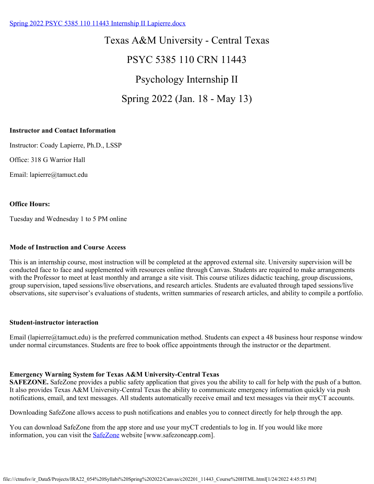### [Spring 2022 PSYC 5385 110 11443 Internship II Lapierre.docx](https://tamuct.instructure.com/courses/9582/files/1190150?verifier=OATyGBJZgs7irE0Gu248m6YtSkw3swoWbmRZWD9d&wrap=1)

Texas A&M University - Central Texas PSYC 5385 110 CRN 11443 Psychology Internship II Spring 2022 (Jan. 18 - May 13)

#### **Instructor and Contact Information**

Instructor: Coady Lapierre, Ph.D., LSSP

Office: 318 G Warrior Hall

Email: lapierre@tamuct.edu

#### **Office Hours:**

Tuesday and Wednesday 1 to 5 PM online

#### **Mode of Instruction and Course Access**

This is an internship course, most instruction will be completed at the approved external site. University supervision will be conducted face to face and supplemented with resources online through Canvas. Students are required to make arrangements with the Professor to meet at least monthly and arrange a site visit. This course utilizes didactic teaching, group discussions, group supervision, taped sessions/live observations, and research articles. Students are evaluated through taped sessions/live observations, site supervisor's evaluations of students, written summaries of research articles, and ability to compile a portfolio.

#### **Student-instructor interaction**

Email (lapierre@tamuct.edu) is the preferred communication method. Students can expect a 48 business hour response window under normal circumstances. Students are free to book office appointments through the instructor or the department.

#### **Emergency Warning System for Texas A&M University-Central Texas**

**SAFEZONE.** SafeZone provides a public safety application that gives you the ability to call for help with the push of a button. It also provides Texas A&M University-Central Texas the ability to communicate emergency information quickly via push notifications, email, and text messages. All students automatically receive email and text messages via their myCT accounts.

Downloading SafeZone allows access to push notifications and enables you to connect directly for help through the app.

You can download SafeZone from the app store and use your myCT credentials to log in. If you would like more information, you can visit the **SafeZone** website [www.safezoneapp.com].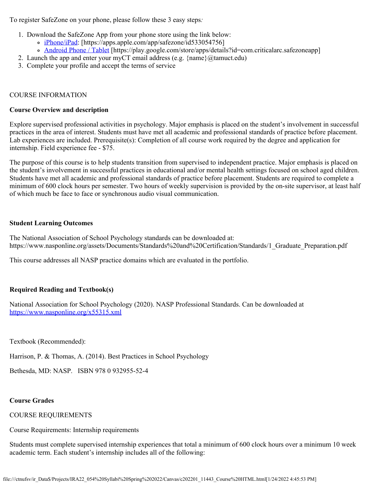To register SafeZone on your phone, please follow these 3 easy steps*:*

- 1. Download the SafeZone App from your phone store using the link below:
	- [iPhone/iPad](https://apps.apple.com/app/safezone/id533054756): [https://apps.apple.com/app/safezone/id533054756]
	- [Android Phone / Tablet](https://play.google.com/store/apps/details?id=com.criticalarc.safezoneapp) [https://play.google.com/store/apps/details?id=com.criticalarc.safezoneapp]
- 2. Launch the app and enter your myCT email address (e.g.  $\{\text{name}\}\langle\omega\rangle$  tamuct.edu)
- 3. Complete your profile and accept the terms of service

### COURSE INFORMATION

#### **Course Overview and description**

Explore supervised professional activities in psychology. Major emphasis is placed on the student's involvement in successful practices in the area of interest. Students must have met all academic and professional standards of practice before placement. Lab experiences are included. Prerequisite(s): Completion of all course work required by the degree and application for internship. Field experience fee - \$75.

The purpose of this course is to help students transition from supervised to independent practice. Major emphasis is placed on the student's involvement in successful practices in educational and/or mental health settings focused on school aged children. Students have met all academic and professional standards of practice before placement. Students are required to complete a minimum of 600 clock hours per semester. Two hours of weekly supervision is provided by the on-site supervisor, at least half of which much be face to face or synchronous audio visual communication.

#### **Student Learning Outcomes**

The National Association of School Psychology standards can be downloaded at: https://www.nasponline.org/assets/Documents/Standards%20and%20Certification/Standards/1\_Graduate\_Preparation.pdf

This course addresses all NASP practice domains which are evaluated in the portfolio.

### **Required Reading and Textbook(s)**

National Association for School Psychology (2020). NASP Professional Standards. Can be downloaded at <https://www.nasponline.org/x55315.xml>

Textbook (Recommended):

Harrison, P. & Thomas, A. (2014). Best Practices in School Psychology

Bethesda, MD: NASP. ISBN 978 0 932955-52-4

### **Course Grades**

### COURSE REQUIREMENTS

Course Requirements: Internship requirements

Students must complete supervised internship experiences that total a minimum of 600 clock hours over a minimum 10 week academic term. Each student's internship includes all of the following: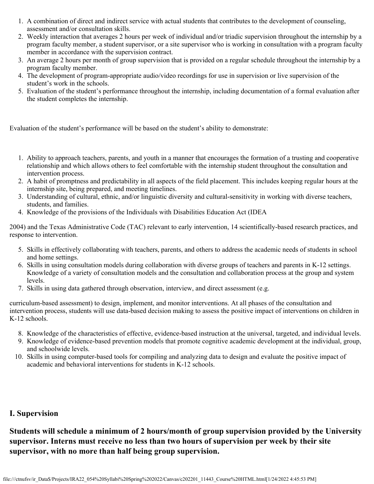- 1. A combination of direct and indirect service with actual students that contributes to the development of counseling, assessment and/or consultation skills.
- 2. Weekly interaction that averages 2 hours per week of individual and/or triadic supervision throughout the internship by a program faculty member, a student supervisor, or a site supervisor who is working in consultation with a program faculty member in accordance with the supervision contract.
- 3. An average 2 hours per month of group supervision that is provided on a regular schedule throughout the internship by a program faculty member.
- 4. The development of program-appropriate audio/video recordings for use in supervision or live supervision of the student's work in the schools.
- 5. Evaluation of the student's performance throughout the internship, including documentation of a formal evaluation after the student completes the internship.

Evaluation of the student's performance will be based on the student's ability to demonstrate:

- 1. Ability to approach teachers, parents, and youth in a manner that encourages the formation of a trusting and cooperative relationship and which allows others to feel comfortable with the internship student throughout the consultation and intervention process.
- 2. A habit of promptness and predictability in all aspects of the field placement. This includes keeping regular hours at the internship site, being prepared, and meeting timelines.
- 3. Understanding of cultural, ethnic, and/or linguistic diversity and cultural-sensitivity in working with diverse teachers, students, and families.
- 4. Knowledge of the provisions of the Individuals with Disabilities Education Act (IDEA

2004) and the Texas Administrative Code (TAC) relevant to early intervention, 14 scientifically-based research practices, and response to intervention.

- 5. Skills in effectively collaborating with teachers, parents, and others to address the academic needs of students in school and home settings.
- 6. Skills in using consultation models during collaboration with diverse groups of teachers and parents in K-12 settings. Knowledge of a variety of consultation models and the consultation and collaboration process at the group and system levels.
- 7. Skills in using data gathered through observation, interview, and direct assessment (e.g.

curriculum-based assessment) to design, implement, and monitor interventions. At all phases of the consultation and intervention process, students will use data-based decision making to assess the positive impact of interventions on children in K-12 schools.

- 8. Knowledge of the characteristics of effective, evidence-based instruction at the universal, targeted, and individual levels.
- 9. Knowledge of evidence-based prevention models that promote cognitive academic development at the individual, group, and schoolwide levels.
- 10. Skills in using computer-based tools for compiling and analyzing data to design and evaluate the positive impact of academic and behavioral interventions for students in K-12 schools.

## **I. Supervision**

**Students will schedule a minimum of 2 hours/month of group supervision provided by the University supervisor. Interns must receive no less than two hours of supervision per week by their site supervisor, with no more than half being group supervision.**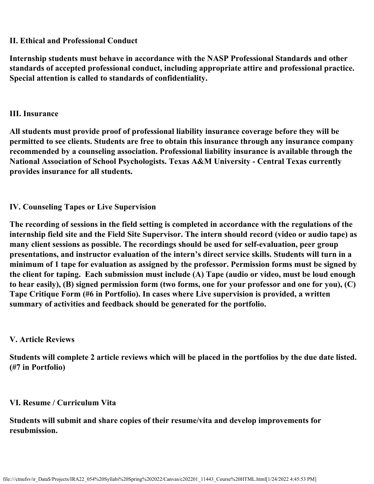# **II. Ethical and Professional Conduct**

**Internship students must behave in accordance with the NASP Professional Standards and other standards of accepted professional conduct, including appropriate attire and professional practice. Special attention is called to standards of confidentiality.**

## **III. Insurance**

**All students must provide proof of professional liability insurance coverage before they will be permitted to see clients. Students are free to obtain this insurance through any insurance company recommended by a counseling association. Professional liability insurance is available through the National Association of School Psychologists. Texas A&M University - Central Texas currently provides insurance for all students.**

# **IV. Counseling Tapes or Live Supervision**

**The recording of sessions in the field setting is completed in accordance with the regulations of the internship field site and the Field Site Supervisor. The intern should record (video or audio tape) as many client sessions as possible. The recordings should be used for self-evaluation, peer group presentations, and instructor evaluation of the intern's direct service skills. Students will turn in a minimum of 1 tape for evaluation as assigned by the professor. Permission forms must be signed by the client for taping. Each submission must include (A) Tape (audio or video, must be loud enough to hear easily), (B) signed permission form (two forms, one for your professor and one for you), (C) Tape Critique Form (#6 in Portfolio). In cases where Live supervision is provided, a written summary of activities and feedback should be generated for the portfolio.**

## **V. Article Reviews**

**Students will complete 2 article reviews which will be placed in the portfolios by the due date listed. (#7 in Portfolio)**

## **VI. Resume / Curriculum Vita**

**Students will submit and share copies of their resume/vita and develop improvements for resubmission.**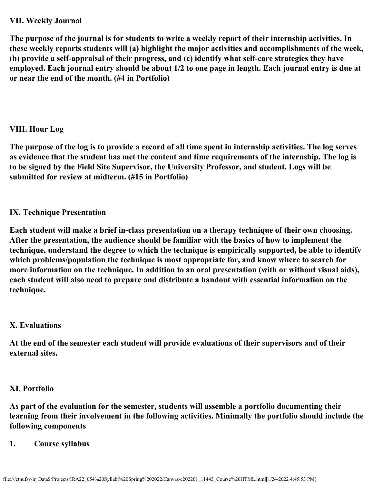# **VII. Weekly Journal**

**The purpose of the journal is for students to write a weekly report of their internship activities. In these weekly reports students will (a) highlight the major activities and accomplishments of the week, (b) provide a self-appraisal of their progress, and (c) identify what self-care strategies they have employed. Each journal entry should be about 1/2 to one page in length. Each journal entry is due at or near the end of the month. (#4 in Portfolio)**

# **VIII. Hour Log**

**The purpose of the log is to provide a record of all time spent in internship activities. The log serves as evidence that the student has met the content and time requirements of the internship. The log is to be signed by the Field Site Supervisor, the University Professor, and student. Logs will be submitted for review at midterm. (#15 in Portfolio)**

# **IX. Technique Presentation**

**Each student will make a brief in-class presentation on a therapy technique of their own choosing. After the presentation, the audience should be familiar with the basics of how to implement the technique, understand the degree to which the technique is empirically supported, be able to identify which problems/population the technique is most appropriate for, and know where to search for more information on the technique. In addition to an oral presentation (with or without visual aids), each student will also need to prepare and distribute a handout with essential information on the technique.**

# **X. Evaluations**

**At the end of the semester each student will provide evaluations of their supervisors and of their external sites.**

# **XI. Portfolio**

**As part of the evaluation for the semester, students will assemble a portfolio documenting their learning from their involvement in the following activities. Minimally the portfolio should include the following components**

# **1. Course syllabus**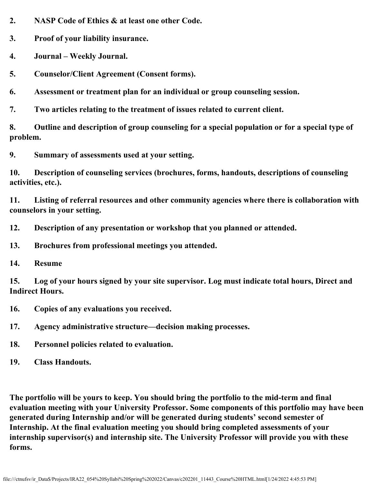**2. NASP Code of Ethics & at least one other Code.**

**3. Proof of your liability insurance.**

- **4. Journal Weekly Journal.**
- **5. Counselor/Client Agreement (Consent forms).**
- **6. Assessment or treatment plan for an individual or group counseling session.**
- **7. Two articles relating to the treatment of issues related to current client.**

**8. Outline and description of group counseling for a special population or for a special type of problem.**

**9. Summary of assessments used at your setting.**

**10. Description of counseling services (brochures, forms, handouts, descriptions of counseling activities, etc.).**

**11. Listing of referral resources and other community agencies where there is collaboration with counselors in your setting.**

- **12. Description of any presentation or workshop that you planned or attended.**
- **13. Brochures from professional meetings you attended.**
- **14. Resume**

**15. Log of your hours signed by your site supervisor. Log must indicate total hours, Direct and Indirect Hours.**

- **16. Copies of any evaluations you received.**
- **17. Agency administrative structure—decision making processes.**
- **18. Personnel policies related to evaluation.**
- **19. Class Handouts.**

**The portfolio will be yours to keep. You should bring the portfolio to the mid-term and final evaluation meeting with your University Professor. Some components of this portfolio may have been generated during Internship and/or will be generated during students' second semester of Internship. At the final evaluation meeting you should bring completed assessments of your internship supervisor(s) and internship site. The University Professor will provide you with these forms.**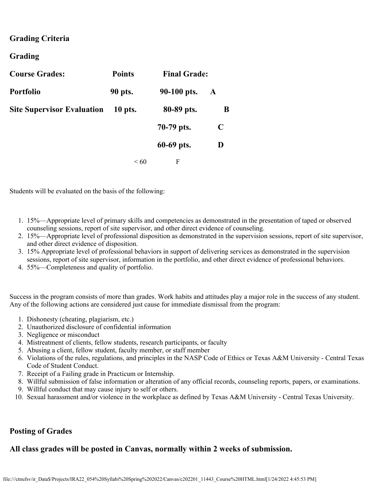## **Grading Criteria**

### **Grading**

| <b>Course Grades:</b>             | <b>Points</b> | <b>Final Grade:</b> |   |
|-----------------------------------|---------------|---------------------|---|
| <b>Portfolio</b>                  | 90 pts.       | 90-100 pts.         | A |
| <b>Site Supervisor Evaluation</b> | 10 pts.       | 80-89 pts.          | B |
|                                   |               | 70-79 pts.          | C |
|                                   |               | 60-69 pts.          | D |
|                                   | $\leq 60$     | F                   |   |

Students will be evaluated on the basis of the following:

- 1. 15%—Appropriate level of primary skills and competencies as demonstrated in the presentation of taped or observed counseling sessions, report of site supervisor, and other direct evidence of counseling.
- 2. 15%—Appropriate level of professional disposition as demonstrated in the supervision sessions, report of site supervisor, and other direct evidence of disposition.
- 3. 15% Appropriate level of professional behaviors in support of delivering services as demonstrated in the supervision sessions, report of site supervisor, information in the portfolio, and other direct evidence of professional behaviors.
- 4. 55%—Completeness and quality of portfolio.

Success in the program consists of more than grades. Work habits and attitudes play a major role in the success of any student. Any of the following actions are considered just cause for immediate dismissal from the program:

- 1. Dishonesty (cheating, plagiarism, etc.)
- 2. Unauthorized disclosure of confidential information
- 3. Negligence or misconduct
- 4. Mistreatment of clients, fellow students, research participants, or faculty
- 5. Abusing a client, fellow student, faculty member, or staff member
- 6. Violations of the rules, regulations, and principles in the NASP Code of Ethics or Texas A&M University Central Texas Code of Student Conduct.
- 7. Receipt of a Failing grade in Practicum or Internship.
- 8. Willful submission of false information or alteration of any official records, counseling reports, papers, or examinations.
- 9. Willful conduct that may cause injury to self or others.
- 10. Sexual harassment and/or violence in the workplace as defined by Texas A&M University Central Texas University.

## **Posting of Grades**

### **All class grades will be posted in Canvas, normally within 2 weeks of submission.**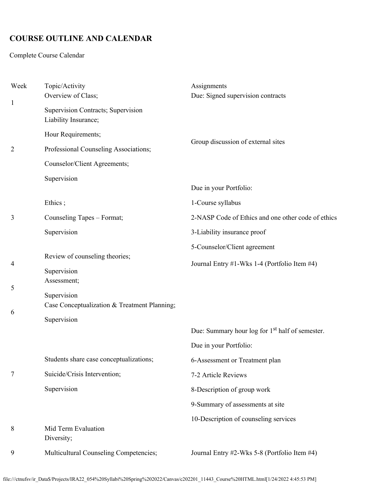# **COURSE OUTLINE AND CALENDAR**

Complete Course Calendar

| Week           | Topic/Activity<br>Overview of Class;                                       | Assignments<br>Due: Signed supervision contracts                                      |  |
|----------------|----------------------------------------------------------------------------|---------------------------------------------------------------------------------------|--|
| $\mathbf{1}$   | Supervision Contracts; Supervision<br>Liability Insurance;                 |                                                                                       |  |
|                | Hour Requirements;                                                         | Group discussion of external sites                                                    |  |
| $\overline{2}$ | Professional Counseling Associations;                                      |                                                                                       |  |
|                | Counselor/Client Agreements;                                               |                                                                                       |  |
|                | Supervision                                                                | Due in your Portfolio:                                                                |  |
|                | Ethics;                                                                    | 1-Course syllabus                                                                     |  |
| 3              | Counseling Tapes - Format;                                                 | 2-NASP Code of Ethics and one other code of ethics                                    |  |
|                | Supervision                                                                | 3-Liability insurance proof                                                           |  |
|                |                                                                            | 5-Counselor/Client agreement                                                          |  |
| 4              | Review of counseling theories;<br>Supervision<br>Assessment;               | Journal Entry #1-Wks 1-4 (Portfolio Item #4)                                          |  |
| 5<br>6         | Supervision<br>Case Conceptualization & Treatment Planning;<br>Supervision |                                                                                       |  |
|                |                                                                            | Due: Summary hour log for 1 <sup>st</sup> half of semester.<br>Due in your Portfolio: |  |
|                | Students share case conceptualizations;                                    | 6-Assessment or Treatment plan                                                        |  |
| 7              | Suicide/Crisis Intervention;                                               | 7-2 Article Reviews                                                                   |  |
|                | Supervision                                                                | 8-Description of group work                                                           |  |
|                |                                                                            | 9-Summary of assessments at site                                                      |  |
| 8              | Mid Term Evaluation<br>Diversity;                                          | 10-Description of counseling services                                                 |  |
| 9              | Multicultural Counseling Competencies;                                     | Journal Entry #2-Wks 5-8 (Portfolio Item #4)                                          |  |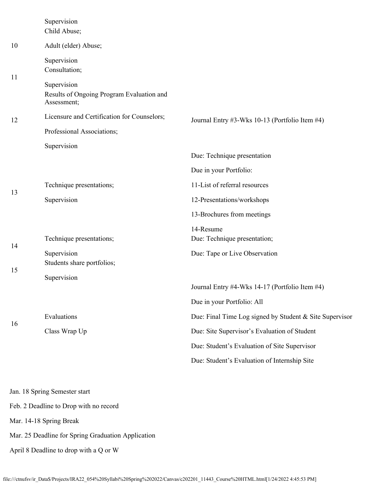|    | Supervision<br>Child Abuse;                                             |                                                         |  |  |
|----|-------------------------------------------------------------------------|---------------------------------------------------------|--|--|
| 10 | Adult (elder) Abuse;                                                    |                                                         |  |  |
|    | Supervision<br>Consultation;                                            |                                                         |  |  |
| 11 | Supervision<br>Results of Ongoing Program Evaluation and<br>Assessment; |                                                         |  |  |
| 12 | Licensure and Certification for Counselors;                             | Journal Entry #3-Wks 10-13 (Portfolio Item #4)          |  |  |
|    | Professional Associations;                                              |                                                         |  |  |
|    | Supervision                                                             | Due: Technique presentation                             |  |  |
|    |                                                                         | Due in your Portfolio:                                  |  |  |
| 13 | Technique presentations;                                                | 11-List of referral resources                           |  |  |
|    | Supervision                                                             | 12-Presentations/workshops                              |  |  |
|    |                                                                         | 13-Brochures from meetings                              |  |  |
| 14 | Technique presentations;                                                | 14-Resume<br>Due: Technique presentation;               |  |  |
|    | Supervision<br>Students share portfolios;                               | Due: Tape or Live Observation                           |  |  |
| 15 | Supervision                                                             | Journal Entry #4-Wks 14-17 (Portfolio Item #4)          |  |  |
|    |                                                                         | Due in your Portfolio: All                              |  |  |
| 16 | Evaluations                                                             | Due: Final Time Log signed by Student & Site Supervisor |  |  |
|    | Class Wrap Up                                                           | Due: Site Supervisor's Evaluation of Student            |  |  |
|    |                                                                         | Due: Student's Evaluation of Site Supervisor            |  |  |
|    |                                                                         | Due: Student's Evaluation of Internship Site            |  |  |
|    | Jan. 18 Spring Semester start                                           |                                                         |  |  |

Feb. 2 Deadline to Drop with no record

Mar. 14-18 Spring Break

Mar. 25 Deadline for Spring Graduation Application

April 8 Deadline to drop with a Q or W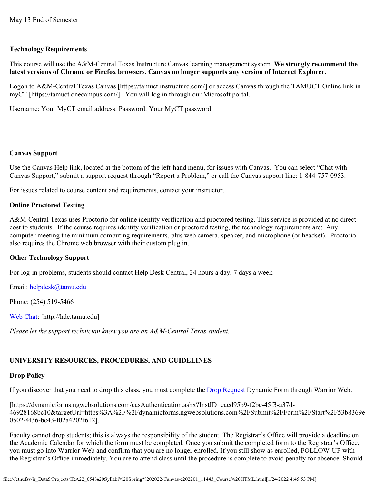### **Technology Requirements**

This course will use the A&M-Central Texas Instructure Canvas learning management system. **We strongly recommend the latest versions of Chrome or Firefox browsers. Canvas no longer supports any version of Internet Explorer.**

Logon to A&M-Central Texas Canvas [https://tamuct.instructure.com/] or access Canvas through the TAMUCT Online link in myCT [https://tamuct.onecampus.com/]. You will log in through our Microsoft portal.

Username: Your MyCT email address. Password: Your MyCT password

### **Canvas Support**

Use the Canvas Help link, located at the bottom of the left-hand menu, for issues with Canvas. You can select "Chat with Canvas Support," submit a support request through "Report a Problem," or call the Canvas support line: 1-844-757-0953.

For issues related to course content and requirements, contact your instructor.

### **Online Proctored Testing**

A&M-Central Texas uses Proctorio for online identity verification and proctored testing. This service is provided at no direct cost to students. If the course requires identity verification or proctored testing, the technology requirements are: Any computer meeting the minimum computing requirements, plus web camera, speaker, and microphone (or headset). Proctorio also requires the Chrome web browser with their custom plug in.

### **Other Technology Support**

For log-in problems, students should contact Help Desk Central, 24 hours a day, 7 days a week

Email: [helpdesk@tamu.edu](mailto:helpdesk@tamu.edu)

Phone: (254) 519-5466

[Web Chat](http://hdc.tamu.edu/): [http://hdc.tamu.edu]

*Please let the support technician know you are an A&M-Central Texas student.*

# **UNIVERSITY RESOURCES, PROCEDURES, AND GUIDELINES**

## **Drop Policy**

If you discover that you need to drop this class, you must complete the **Drop Request Dynamic Form through Warrior Web**.

[https://dynamicforms.ngwebsolutions.com/casAuthentication.ashx?InstID=eaed95b9-f2be-45f3-a37d-46928168bc10&targetUrl=https%3A%2F%2Fdynamicforms.ngwebsolutions.com%2FSubmit%2FForm%2FStart%2F53b8369e-0502-4f36-be43-f02a4202f612].

Faculty cannot drop students; this is always the responsibility of the student. The Registrar's Office will provide a deadline on the Academic Calendar for which the form must be completed. Once you submit the completed form to the Registrar's Office, you must go into Warrior Web and confirm that you are no longer enrolled. If you still show as enrolled, FOLLOW-UP with the Registrar's Office immediately. You are to attend class until the procedure is complete to avoid penalty for absence. Should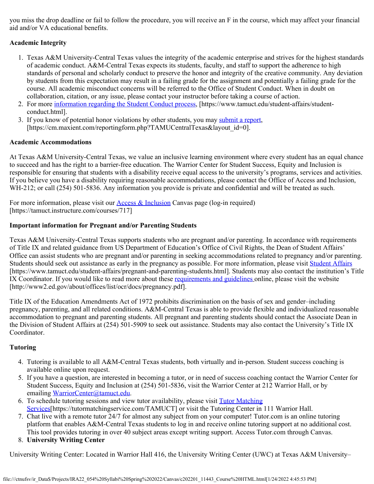you miss the drop deadline or fail to follow the procedure, you will receive an F in the course, which may affect your financial aid and/or VA educational benefits.

### **Academic Integrity**

- 1. Texas A&M University-Central Texas values the integrity of the academic enterprise and strives for the highest standards of academic conduct. A&M-Central Texas expects its students, faculty, and staff to support the adherence to high standards of personal and scholarly conduct to preserve the honor and integrity of the creative community. Any deviation by students from this expectation may result in a failing grade for the assignment and potentially a failing grade for the course. All academic misconduct concerns will be referred to the Office of Student Conduct. When in doubt on collaboration, citation, or any issue, please contact your instructor before taking a course of action.
- 2. For more [information regarding the Student Conduct process](https://nam04.safelinks.protection.outlook.com/?url=https%3A%2F%2Fwww.tamuct.edu%2Fstudent-affairs%2Fstudent-conduct.html&data=04%7C01%7Clisa.bunkowski%40tamuct.edu%7Ccfb6e486f24745f53e1a08d910055cb2%7C9eed4e3000f744849ff193ad8005acec%7C0%7C0%7C637558437485252160%7CUnknown%7CTWFpbGZsb3d8eyJWIjoiMC4wLjAwMDAiLCJQIjoiV2luMzIiLCJBTiI6Ik1haWwiLCJXVCI6Mn0%3D%7C1000&sdata=yjftDEVHvLX%2FhM%2FcFU0B99krV1RgEWR%2BJ%2BhvtoR6TYk%3D&reserved=0), [https://www.tamuct.edu/student-affairs/studentconduct.html].
- 3. If you know of potential honor violations by other students, you may [submit a report](https://nam04.safelinks.protection.outlook.com/?url=https%3A%2F%2Fcm.maxient.com%2Freportingform.php%3FTAMUCentralTexas%26layout_id%3D0&data=04%7C01%7Clisa.bunkowski%40tamuct.edu%7Ccfb6e486f24745f53e1a08d910055cb2%7C9eed4e3000f744849ff193ad8005acec%7C0%7C0%7C637558437485262157%7CUnknown%7CTWFpbGZsb3d8eyJWIjoiMC4wLjAwMDAiLCJQIjoiV2luMzIiLCJBTiI6Ik1haWwiLCJXVCI6Mn0%3D%7C1000&sdata=CXGkOa6uPDPX1IMZ87z3aZDq2n91xfHKu4MMS43Ejjk%3D&reserved=0), [https://cm.maxient.com/reportingform.php?TAMUCentralTexas&layout\_id=0].

### **Academic Accommodations**

At Texas A&M University-Central Texas, we value an inclusive learning environment where every student has an equal chance to succeed and has the right to a barrier-free education. The Warrior Center for Student Success, Equity and Inclusion is responsible for ensuring that students with a disability receive equal access to the university's programs, services and activities. If you believe you have a disability requiring reasonable accommodations, please contact the Office of Access and Inclusion, WH-212; or call (254) 501-5836. Any information you provide is private and confidential and will be treated as such.

For more information, please visit our [Access & Inclusion](https://tamuct.instructure.com/courses/717) Canvas page (log-in required) [https://tamuct.instructure.com/courses/717]

### **Important information for Pregnant and/or Parenting Students**

Texas A&M University-Central Texas supports students who are pregnant and/or parenting. In accordance with requirements of Title IX and related guidance from US Department of Education's Office of Civil Rights, the Dean of Student Affairs' Office can assist students who are pregnant and/or parenting in seeking accommodations related to pregnancy and/or parenting. Students should seek out assistance as early in the pregnancy as possible. For more information, please visit [Student Affairs](https://www.tamuct.edu/student-affairs/pregnant-and-parenting-students.html) [https://www.tamuct.edu/student-affairs/pregnant-and-parenting-students.html]. Students may also contact the institution's Title IX Coordinator. If you would like to read more about these [requirements and guidelines](http://www2.ed.gov/about/offices/list/ocr/docs/pregnancy.pdf) online, please visit the website [http://www2.ed.gov/about/offices/list/ocr/docs/pregnancy.pdf].

Title IX of the Education Amendments Act of 1972 prohibits discrimination on the basis of sex and gender–including pregnancy, parenting, and all related conditions. A&M-Central Texas is able to provide flexible and individualized reasonable accommodation to pregnant and parenting students. All pregnant and parenting students should contact the Associate Dean in the Division of Student Affairs at (254) 501-5909 to seek out assistance. Students may also contact the University's Title IX Coordinator.

### **Tutoring**

- 4. Tutoring is available to all A&M-Central Texas students, both virtually and in-person. Student success coaching is available online upon request.
- 5. If you have a question, are interested in becoming a tutor, or in need of success coaching contact the Warrior Center for Student Success, Equity and Inclusion at (254) 501-5836, visit the Warrior Center at 212 Warrior Hall, or by emailing [WarriorCenter@tamuct.edu](mailto:WarriorCenter@tamuct.edu).
- 6. To schedule tutoring sessions and view tutor availability, please visit [Tutor Matching](https://tutormatchingservice.com/TAMUCT) [Services](https://tutormatchingservice.com/TAMUCT)[https://tutormatchingservice.com/TAMUCT] or visit the Tutoring Center in 111 Warrior Hall.
- 7. Chat live with a remote tutor 24/7 for almost any subject from on your computer! Tutor.com is an online tutoring platform that enables A&M-Central Texas students to log in and receive online tutoring support at no additional cost. This tool provides tutoring in over 40 subject areas except writing support. Access Tutor.com through Canvas.
- 8. **University Writing Center**

University Writing Center: Located in Warrior Hall 416, the University Writing Center (UWC) at Texas A&M University–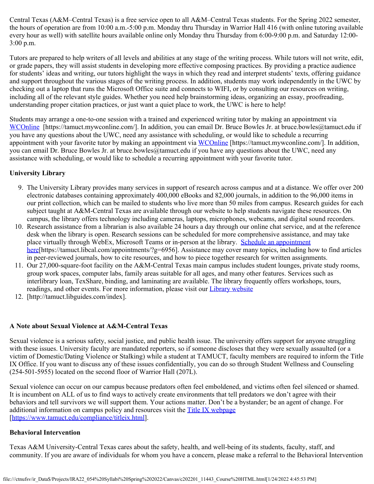Central Texas (A&M–Central Texas) is a free service open to all A&M–Central Texas students. For the Spring 2022 semester, the hours of operation are from 10:00 a.m.-5:00 p.m. Monday thru Thursday in Warrior Hall 416 (with online tutoring available every hour as well) with satellite hours available online only Monday thru Thursday from 6:00-9:00 p.m. and Saturday 12:00- 3:00 p.m.

Tutors are prepared to help writers of all levels and abilities at any stage of the writing process. While tutors will not write, edit, or grade papers, they will assist students in developing more effective composing practices. By providing a practice audience for students' ideas and writing, our tutors highlight the ways in which they read and interpret students' texts, offering guidance and support throughout the various stages of the writing process. In addition, students may work independently in the UWC by checking out a laptop that runs the Microsoft Office suite and connects to WIFI, or by consulting our resources on writing, including all of the relevant style guides. Whether you need help brainstorming ideas, organizing an essay, proofreading, understanding proper citation practices, or just want a quiet place to work, the UWC is here to help!

Students may arrange a one-to-one session with a trained and experienced writing tutor by making an appointment via [WCOnline](https://tamuct.mywconline.com/) [https://tamuct.mywconline.com/]. In addition, you can email Dr. Bruce Bowles Jr. at bruce.bowles@tamuct.edu if you have any questions about the UWC, need any assistance with scheduling, or would like to schedule a recurring appointment with your favorite tutor by making an appointment via [WCOnline](https://tamuct.mywconline.com/) [https://tamuct.mywconline.com/]. In addition, you can email Dr. Bruce Bowles Jr. at bruce.bowles@tamuct.edu if you have any questions about the UWC, need any assistance with scheduling, or would like to schedule a recurring appointment with your favorite tutor.

### **University Library**

- 9. The University Library provides many services in support of research across campus and at a distance. We offer over 200 electronic databases containing approximately 400,000 eBooks and 82,000 journals, in addition to the 96,000 items in our print collection, which can be mailed to students who live more than 50 miles from campus. Research guides for each subject taught at A&M-Central Texas are available through our website to help students navigate these resources. On campus, the library offers technology including cameras, laptops, microphones, webcams, and digital sound recorders.
- 10. Research assistance from a librarian is also available 24 hours a day through our online chat service, and at the reference desk when the library is open. Research sessions can be scheduled for more comprehensive assistance, and may take place virtually through WebEx, Microsoft Teams or in-person at the library. [Schedule an appointment](https://nam04.safelinks.protection.outlook.com/?url=https%3A%2F%2Ftamuct.libcal.com%2Fappointments%2F%3Fg%3D6956&data=04%7C01%7Clisa.bunkowski%40tamuct.edu%7Cde2c07d9f5804f09518008d9ab7ba6ff%7C9eed4e3000f744849ff193ad8005acec%7C0%7C0%7C637729369835011558%7CUnknown%7CTWFpbGZsb3d8eyJWIjoiMC4wLjAwMDAiLCJQIjoiV2luMzIiLCJBTiI6Ik1haWwiLCJXVCI6Mn0%3D%7C3000&sdata=KhtjgRSAw9aq%2FoBsB6wyu8b7PSuGN5EGPypzr3Ty2No%3D&reserved=0) [here](https://nam04.safelinks.protection.outlook.com/?url=https%3A%2F%2Ftamuct.libcal.com%2Fappointments%2F%3Fg%3D6956&data=04%7C01%7Clisa.bunkowski%40tamuct.edu%7Cde2c07d9f5804f09518008d9ab7ba6ff%7C9eed4e3000f744849ff193ad8005acec%7C0%7C0%7C637729369835011558%7CUnknown%7CTWFpbGZsb3d8eyJWIjoiMC4wLjAwMDAiLCJQIjoiV2luMzIiLCJBTiI6Ik1haWwiLCJXVCI6Mn0%3D%7C3000&sdata=KhtjgRSAw9aq%2FoBsB6wyu8b7PSuGN5EGPypzr3Ty2No%3D&reserved=0)[https://tamuct.libcal.com/appointments/?g=6956]. Assistance may cover many topics, including how to find articles in peer-reviewed journals, how to cite resources, and how to piece together research for written assignments.
- 11. Our 27,000-square-foot facility on the A&M-Central Texas main campus includes student lounges, private study rooms, group work spaces, computer labs, family areas suitable for all ages, and many other features. Services such as interlibrary loan, TexShare, binding, and laminating are available. The library frequently offers workshops, tours, readings, and other events. For more information, please visit our *[Library website](https://nam04.safelinks.protection.outlook.com/?url=https%3A%2F%2Ftamuct.libguides.com%2Findex&data=04%7C01%7Clisa.bunkowski%40tamuct.edu%7C7d8489e8839a4915335f08d916f067f2%7C9eed4e3000f744849ff193ad8005acec%7C0%7C0%7C637566044056484222%7CUnknown%7CTWFpbGZsb3d8eyJWIjoiMC4wLjAwMDAiLCJQIjoiV2luMzIiLCJBTiI6Ik1haWwiLCJXVCI6Mn0%3D%7C1000&sdata=2R755V6rcIyedGrd4Os5rkgn1PvhHKU3kUV1vBKiHFo%3D&reserved=0)*
- 12. [http://tamuct.libguides.com/index].

### **A Note about Sexual Violence at A&M-Central Texas**

Sexual violence is a serious safety, social justice, and public health issue. The university offers support for anyone struggling with these issues. University faculty are mandated reporters, so if someone discloses that they were sexually assaulted (or a victim of Domestic/Dating Violence or Stalking) while a student at TAMUCT, faculty members are required to inform the Title IX Office. If you want to discuss any of these issues confidentially, you can do so through Student Wellness and Counseling (254-501-5955) located on the second floor of Warrior Hall (207L).

Sexual violence can occur on our campus because predators often feel emboldened, and victims often feel silenced or shamed. It is incumbent on ALL of us to find ways to actively create environments that tell predators we don't agree with their behaviors and tell survivors we will support them. Your actions matter. Don't be a bystander; be an agent of change. For additional information on campus policy and resources visit the [Title IX webpage](https://www.tamuct.edu/compliance/titleix.html) [\[https://www.tamuct.edu/compliance/titleix.html](https://www.tamuct.edu/compliance/titleix.html)].

### **Behavioral Intervention**

Texas A&M University-Central Texas cares about the safety, health, and well-being of its students, faculty, staff, and community. If you are aware of individuals for whom you have a concern, please make a referral to the Behavioral Intervention